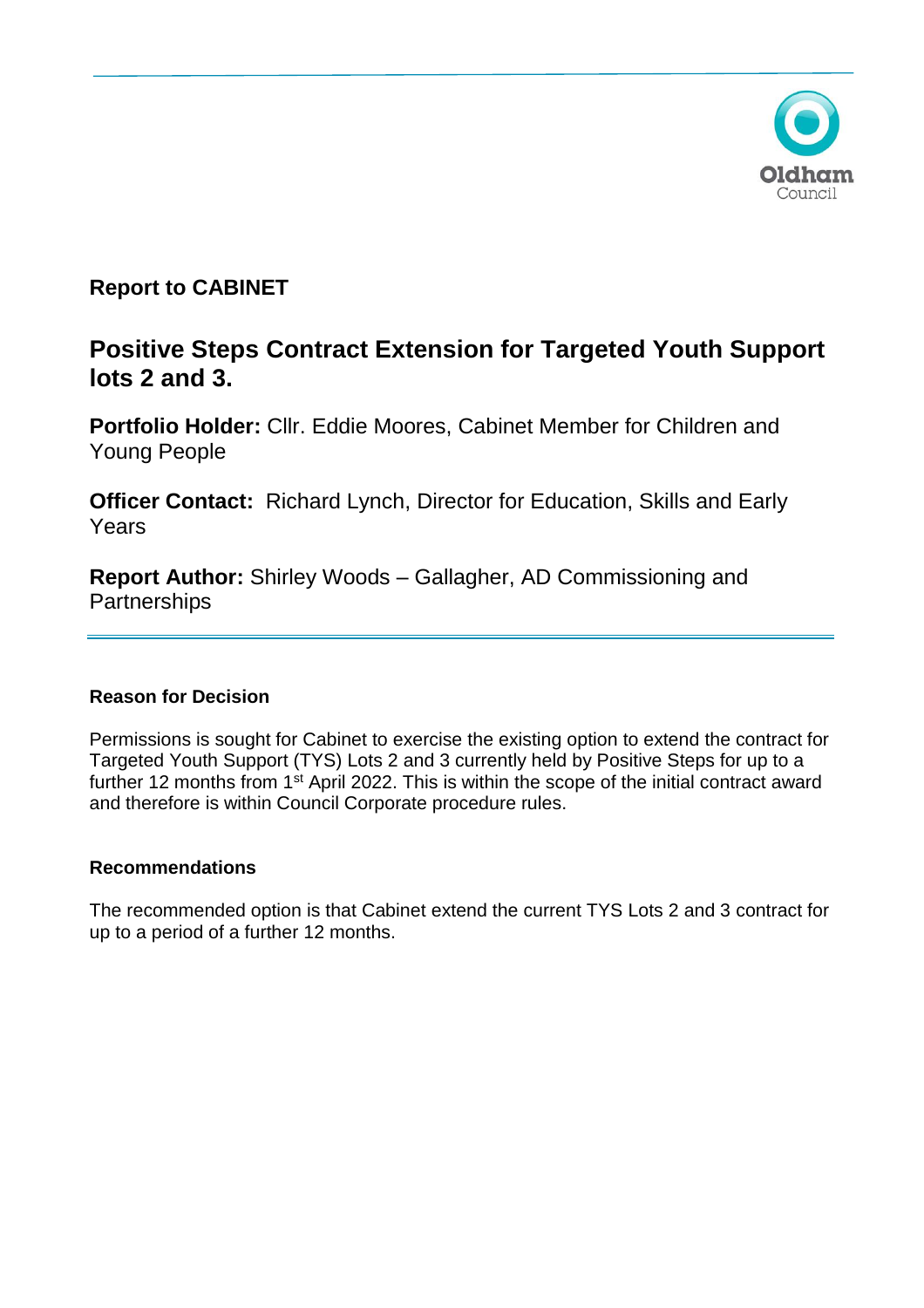

# **Report to CABINET**

# **Positive Steps Contract Extension for Targeted Youth Support lots 2 and 3.**

**Portfolio Holder:** Cllr. Eddie Moores, Cabinet Member for Children and Young People

**Officer Contact:** Richard Lynch, Director for Education, Skills and Early Years

**Report Author:** Shirley Woods – Gallagher, AD Commissioning and **Partnerships** 

# **Reason for Decision**

Permissions is sought for Cabinet to exercise the existing option to extend the contract for Targeted Youth Support (TYS) Lots 2 and 3 currently held by Positive Steps for up to a further 12 months from 1<sup>st</sup> April 2022. This is within the scope of the initial contract award and therefore is within Council Corporate procedure rules.

# **Recommendations**

The recommended option is that Cabinet extend the current TYS Lots 2 and 3 contract for up to a period of a further 12 months.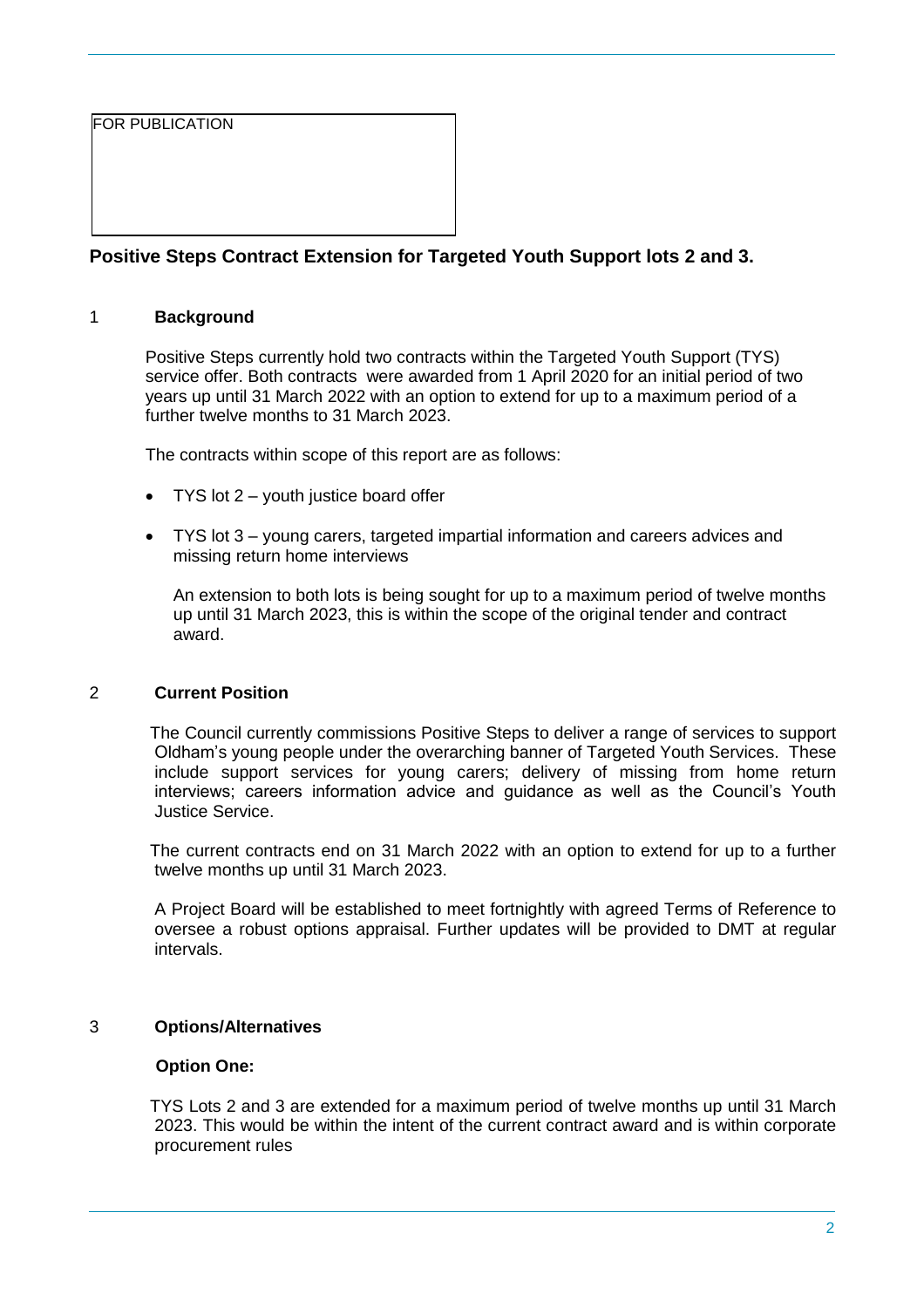FOR PUBLICATION

# **Positive Steps Contract Extension for Targeted Youth Support lots 2 and 3.**

# 1 **Background**

Positive Steps currently hold two contracts within the Targeted Youth Support (TYS) service offer. Both contracts were awarded from 1 April 2020 for an initial period of two years up until 31 March 2022 with an option to extend for up to a maximum period of a further twelve months to 31 March 2023.

The contracts within scope of this report are as follows:

- TYS lot  $2 -$  youth justice board offer
- TYS lot 3 young carers, targeted impartial information and careers advices and missing return home interviews

An extension to both lots is being sought for up to a maximum period of twelve months up until 31 March 2023, this is within the scope of the original tender and contract award.

### 2 **Current Position**

The Council currently commissions Positive Steps to deliver a range of services to support Oldham's young people under the overarching banner of Targeted Youth Services. These include support services for young carers; delivery of missing from home return interviews; careers information advice and guidance as well as the Council's Youth Justice Service.

The current contracts end on 31 March 2022 with an option to extend for up to a further twelve months up until 31 March 2023.

A Project Board will be established to meet fortnightly with agreed Terms of Reference to oversee a robust options appraisal. Further updates will be provided to DMT at regular intervals.

### 3 **Options/Alternatives**

### **Option One:**

TYS Lots 2 and 3 are extended for a maximum period of twelve months up until 31 March 2023. This would be within the intent of the current contract award and is within corporate procurement rules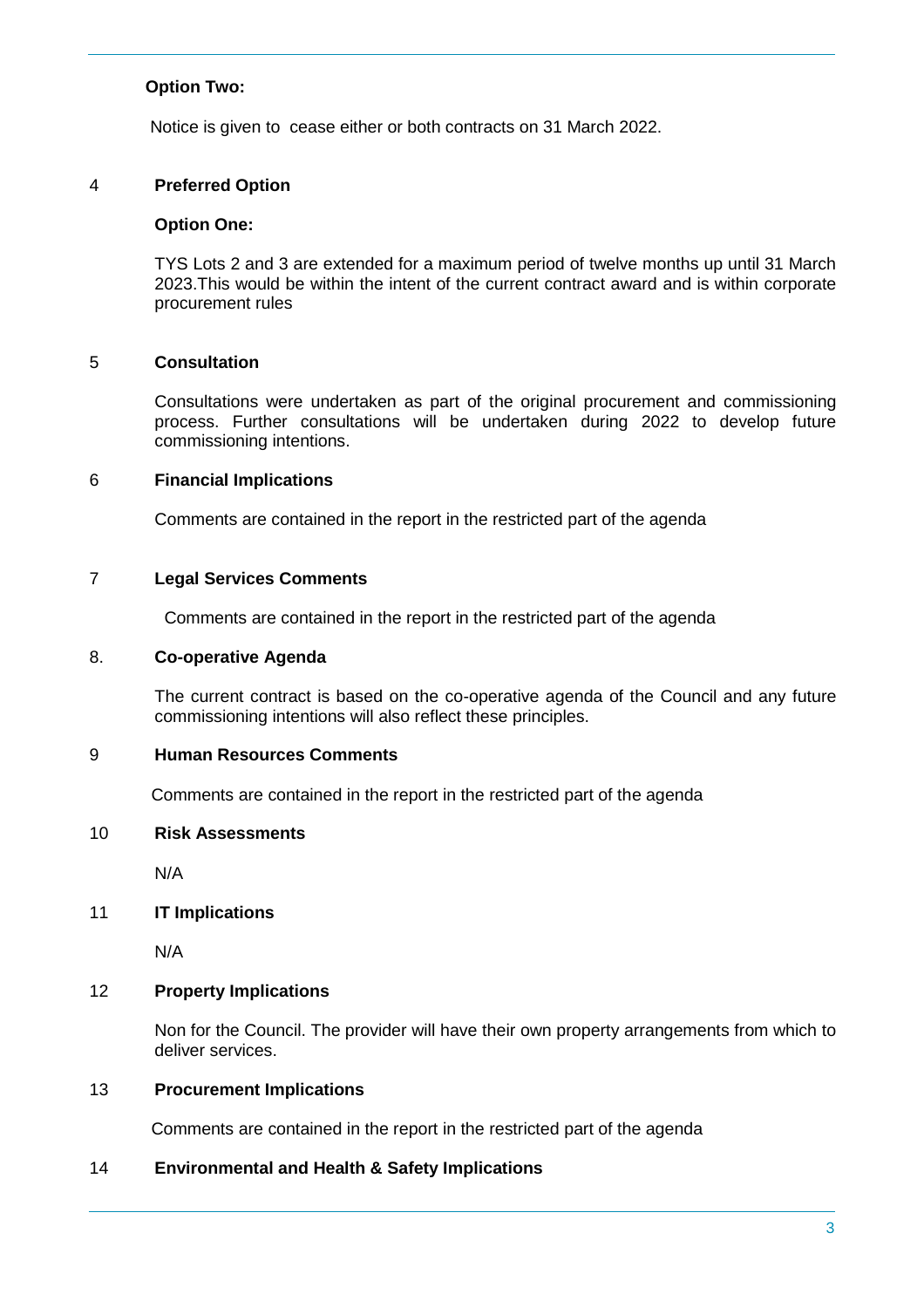### **Option Two:**

Notice is given to cease either or both contracts on 31 March 2022.

### 4 **Preferred Option**

#### **Option One:**

TYS Lots 2 and 3 are extended for a maximum period of twelve months up until 31 March 2023.This would be within the intent of the current contract award and is within corporate procurement rules

#### 5 **Consultation**

Consultations were undertaken as part of the original procurement and commissioning process. Further consultations will be undertaken during 2022 to develop future commissioning intentions.

#### 6 **Financial Implications**

Comments are contained in the report in the restricted part of the agenda

#### 7 **Legal Services Comments**

Comments are contained in the report in the restricted part of the agenda

### 8. **Co-operative Agenda**

The current contract is based on the co-operative agenda of the Council and any future commissioning intentions will also reflect these principles.

# 9 **Human Resources Comments**

Comments are contained in the report in the restricted part of the agenda

#### 10 **Risk Assessments**

N/A

### 11 **IT Implications**

N/A

### 12 **Property Implications**

Non for the Council. The provider will have their own property arrangements from which to deliver services.

#### 13 **Procurement Implications**

Comments are contained in the report in the restricted part of the agenda

### 14 **Environmental and Health & Safety Implications**